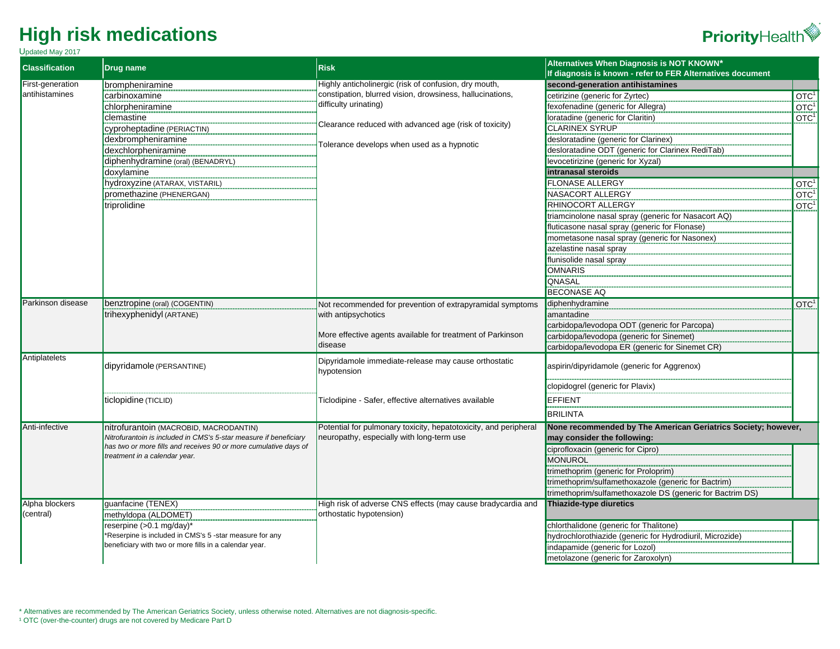Updated May 2017



| <b>Classification</b>              | <b>Drug name</b>                                                                                                                                                                                                 | <b>Risk</b>                                                                                                   | Alternatives When Diagnosis is NOT KNOWN*                                                    |                  |
|------------------------------------|------------------------------------------------------------------------------------------------------------------------------------------------------------------------------------------------------------------|---------------------------------------------------------------------------------------------------------------|----------------------------------------------------------------------------------------------|------------------|
|                                    |                                                                                                                                                                                                                  |                                                                                                               | If diagnosis is known - refer to FER Alternatives document                                   |                  |
| First-generation<br>antihistamines | brompheniramine                                                                                                                                                                                                  | Highly anticholinergic (risk of confusion, dry mouth,                                                         | second-generation antihistamines                                                             |                  |
|                                    | carbinoxamine                                                                                                                                                                                                    | constipation, blurred vision, drowsiness, hallucinations,<br>difficulty urinating)                            | cetirizine (generic for Zyrtec)                                                              | OTC <sup>1</sup> |
|                                    | chlorpheniramine                                                                                                                                                                                                 |                                                                                                               | fexofenadine (generic for Allegra)                                                           | OTC <sup>1</sup> |
|                                    | clemastine                                                                                                                                                                                                       | Clearance reduced with advanced age (risk of toxicity)                                                        | loratadine (generic for Claritin)                                                            | OTC <sup>1</sup> |
|                                    | Cyproheptadine (PERIACTIN)                                                                                                                                                                                       |                                                                                                               | <b>CLARINEX SYRUP</b>                                                                        |                  |
|                                    | dexbrompheniramine                                                                                                                                                                                               | Tolerance develops when used as a hypnotic                                                                    | desloratadine (generic for Clarinex)                                                         |                  |
|                                    | dexchlorpheniramine                                                                                                                                                                                              |                                                                                                               | desloratadine ODT (generic for Clarinex RediTab)                                             |                  |
|                                    | diphenhydramine (oral) (BENADRYL)                                                                                                                                                                                |                                                                                                               | levocetirizine (generic for Xyzal)                                                           |                  |
|                                    | doxylamine                                                                                                                                                                                                       |                                                                                                               | intranasal steroids                                                                          |                  |
|                                    | hydroxyzine (ATARAX, VISTARIL)                                                                                                                                                                                   |                                                                                                               | <b>FLONASE ALLERGY</b>                                                                       | OTC <sup>1</sup> |
|                                    | promethazine (PHENERGAN)                                                                                                                                                                                         |                                                                                                               | NASACORT ALLERGY                                                                             | OTC <sup>1</sup> |
|                                    | triprolidine                                                                                                                                                                                                     |                                                                                                               | RHINOCORT ALLERGY                                                                            | OTC <sup>1</sup> |
|                                    |                                                                                                                                                                                                                  |                                                                                                               | triamcinolone nasal spray (generic for Nasacort AQ)                                          |                  |
|                                    |                                                                                                                                                                                                                  |                                                                                                               | fluticasone nasal spray (generic for Flonase)                                                |                  |
|                                    |                                                                                                                                                                                                                  |                                                                                                               | mometasone nasal spray (generic for Nasonex)                                                 |                  |
|                                    |                                                                                                                                                                                                                  |                                                                                                               | azelastine nasal spray                                                                       |                  |
|                                    |                                                                                                                                                                                                                  |                                                                                                               | flunisolide nasal spray                                                                      |                  |
|                                    |                                                                                                                                                                                                                  |                                                                                                               | <b>OMNARIS</b>                                                                               |                  |
|                                    |                                                                                                                                                                                                                  |                                                                                                               | QNASAL                                                                                       |                  |
|                                    |                                                                                                                                                                                                                  |                                                                                                               | <b>BECONASE AQ</b>                                                                           |                  |
| Parkinson disease                  | benztropine (oral) (COGENTIN)                                                                                                                                                                                    | Not recommended for prevention of extrapyramidal symptoms                                                     | diphenhydramine                                                                              | OTC <sup>1</sup> |
|                                    | trihexyphenidyl (ARTANE)                                                                                                                                                                                         | with antipsychotics                                                                                           | amantadine                                                                                   |                  |
|                                    |                                                                                                                                                                                                                  |                                                                                                               | carbidopa/levodopa ODT (generic for Parcopa)                                                 |                  |
|                                    |                                                                                                                                                                                                                  | More effective agents available for treatment of Parkinson                                                    | carbidopa/levodopa (generic for Sinemet)                                                     |                  |
|                                    |                                                                                                                                                                                                                  | ldisease                                                                                                      | carbidopa/levodopa ER (generic for Sinemet CR)                                               |                  |
| Antiplatelets                      |                                                                                                                                                                                                                  |                                                                                                               |                                                                                              |                  |
|                                    | dipyridamole (PERSANTINE)                                                                                                                                                                                        | Dipyridamole immediate-release may cause orthostatic<br>hypotension                                           | aspirin/dipyridamole (generic for Aggrenox)                                                  |                  |
|                                    |                                                                                                                                                                                                                  |                                                                                                               | clopidogrel (generic for Plavix)                                                             |                  |
|                                    | ticlopidine (TICLID)                                                                                                                                                                                             | Ticlodipine - Safer, effective alternatives available                                                         | <b>EFFIENT</b>                                                                               |                  |
|                                    |                                                                                                                                                                                                                  |                                                                                                               | <b>BRILINTA</b>                                                                              |                  |
| Anti-infective                     | nitrofurantoin (MACROBID, MACRODANTIN)<br>Nitrofurantoin is included in CMS's 5-star measure if beneficiary<br>has two or more fills and receives 90 or more cumulative days of<br>treatment in a calendar year. | Potential for pulmonary toxicity, hepatotoxicity, and peripheral<br>neuropathy, especially with long-term use | None recommended by The American Geriatrics Society; however,<br>may consider the following: |                  |
|                                    |                                                                                                                                                                                                                  |                                                                                                               | ciprofloxacin (generic for Cipro)<br><b>MONUROL</b>                                          |                  |
|                                    |                                                                                                                                                                                                                  |                                                                                                               | trimethoprim (generic for Proloprim)                                                         |                  |
|                                    |                                                                                                                                                                                                                  |                                                                                                               | trimethoprim/sulfamethoxazole (generic for Bactrim)                                          |                  |
|                                    |                                                                                                                                                                                                                  |                                                                                                               |                                                                                              |                  |
| Alpha blockers                     | quanfacine (TENEX)                                                                                                                                                                                               | High risk of adverse CNS effects (may cause bradycardia and                                                   | trimethoprim/sulfamethoxazole DS (generic for Bactrim DS)<br>Thiazide-type diuretics         |                  |
| (central)                          | methyldopa (ALDOMET)                                                                                                                                                                                             | orthostatic hypotension)                                                                                      |                                                                                              |                  |
|                                    | reserpine (>0.1 mg/day)*                                                                                                                                                                                         |                                                                                                               | chlorthalidone (generic for Thalitone)                                                       |                  |
|                                    | *Reserpine is included in CMS's 5 -star measure for any                                                                                                                                                          |                                                                                                               | hydrochlorothiazide (generic for Hydrodiuril, Microzide)                                     |                  |
|                                    | beneficiary with two or more fills in a calendar year.                                                                                                                                                           |                                                                                                               | indapamide (generic for Lozol)                                                               |                  |
|                                    |                                                                                                                                                                                                                  |                                                                                                               | metolazone (generic for Zaroxolyn)                                                           |                  |
|                                    |                                                                                                                                                                                                                  |                                                                                                               |                                                                                              |                  |

\* Alternatives are recommended by The American Geriatrics Society, unless otherwise noted. Alternatives are not diagnosis-specific. <sup>1</sup> OTC (over-the-counter) drugs are not covered by Medicare Part D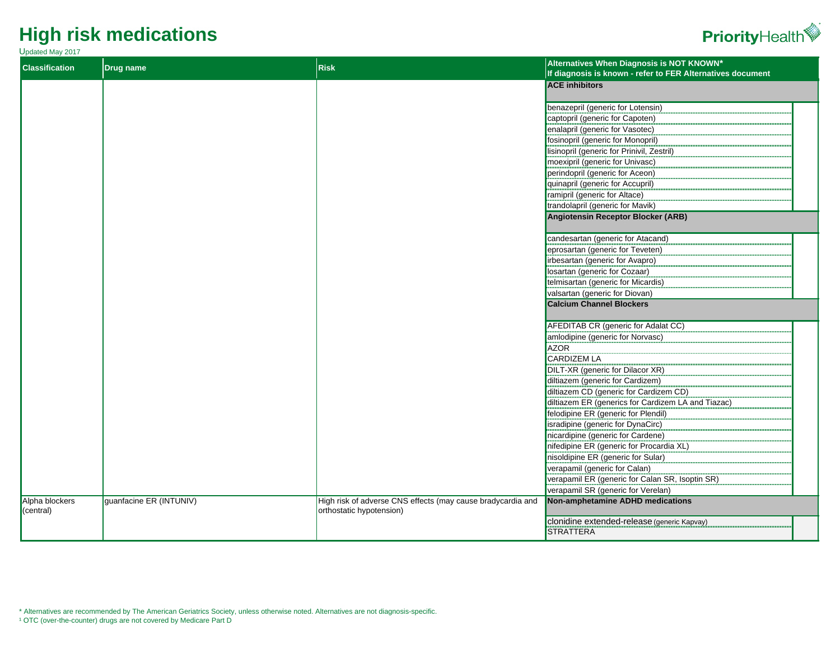#### Updated May 2017



| <b>Classification</b>       | <b>Drug name</b>        | <b>Risk</b>                                                                             | Alternatives When Diagnosis is NOT KNOWN*<br>If diagnosis is known - refer to FER Alternatives document |
|-----------------------------|-------------------------|-----------------------------------------------------------------------------------------|---------------------------------------------------------------------------------------------------------|
|                             |                         |                                                                                         | <b>ACE inhibitors</b>                                                                                   |
|                             |                         |                                                                                         |                                                                                                         |
|                             |                         |                                                                                         | benazepril (generic for Lotensin)                                                                       |
|                             |                         |                                                                                         | captopril (generic for Capoten)                                                                         |
|                             |                         |                                                                                         | enalapril (generic for Vasotec)                                                                         |
|                             |                         |                                                                                         | fosinopril (generic for Monopril)                                                                       |
|                             |                         |                                                                                         | lisinopril (generic for Prinivil, Zestril)                                                              |
|                             |                         |                                                                                         | moexipril (generic for Univasc)                                                                         |
|                             |                         |                                                                                         | perindopril (generic for Aceon)                                                                         |
|                             |                         |                                                                                         | quinapril (generic for Accupril)                                                                        |
|                             |                         |                                                                                         | ramipril (generic for Altace)                                                                           |
|                             |                         |                                                                                         | trandolapril (generic for Mavik)                                                                        |
|                             |                         |                                                                                         | <b>Angiotensin Receptor Blocker (ARB)</b>                                                               |
|                             |                         |                                                                                         | candesartan (generic for Atacand)                                                                       |
|                             |                         |                                                                                         | eprosartan (generic for Teveten)                                                                        |
|                             |                         |                                                                                         | irbesartan (generic for Avapro)                                                                         |
|                             |                         |                                                                                         | Iosartan (generic for Cozaar)                                                                           |
|                             |                         |                                                                                         | telmisartan (generic for Micardis)                                                                      |
|                             |                         |                                                                                         | valsartan (generic for Diovan)                                                                          |
|                             |                         |                                                                                         | <b>Calcium Channel Blockers</b>                                                                         |
|                             |                         |                                                                                         |                                                                                                         |
|                             |                         |                                                                                         | <b>AFEDITAB CR (generic for Adalat CC)</b>                                                              |
|                             |                         |                                                                                         | amlodipine (generic for Norvasc)                                                                        |
|                             |                         |                                                                                         | <b>AZOR</b>                                                                                             |
|                             |                         |                                                                                         | <b>CARDIZEM LA</b>                                                                                      |
|                             |                         |                                                                                         | DILT-XR (generic for Dilacor XR)                                                                        |
|                             |                         |                                                                                         | diltiazem (generic for Cardizem)                                                                        |
|                             |                         |                                                                                         | diltiazem CD (generic for Cardizem CD)                                                                  |
|                             |                         |                                                                                         | diltiazem ER (generics for Cardizem LA and Tiazac)                                                      |
|                             |                         |                                                                                         | felodipine ER (generic for Plendil)                                                                     |
|                             |                         |                                                                                         | isradipine (generic for DynaCirc)                                                                       |
|                             |                         |                                                                                         | nicardipine (generic for Cardene)                                                                       |
|                             |                         |                                                                                         | nifedipine ER (generic for Procardia XL)                                                                |
|                             |                         |                                                                                         | nisoldipine ER (generic for Sular)                                                                      |
|                             |                         |                                                                                         | verapamil (generic for Calan)                                                                           |
|                             |                         |                                                                                         | verapamil ER (generic for Calan SR, Isoptin SR)                                                         |
|                             |                         |                                                                                         | verapamil SR (generic for Verelan)                                                                      |
| Alpha blockers<br>(central) | guanfacine ER (INTUNIV) | High risk of adverse CNS effects (may cause bradycardia and<br>orthostatic hypotension) | <b>Non-amphetamine ADHD medications</b>                                                                 |
|                             |                         |                                                                                         | clonidine extended-release (generic Kapvay)                                                             |
|                             |                         |                                                                                         | <b>STRATTERA</b>                                                                                        |
|                             |                         |                                                                                         |                                                                                                         |

\* Alternatives are recommended by The American Geriatrics Society, unless otherwise noted. Alternatives are not diagnosis-specific.

<sup>1</sup> OTC (over-the-counter) drugs are not covered by Medicare Part D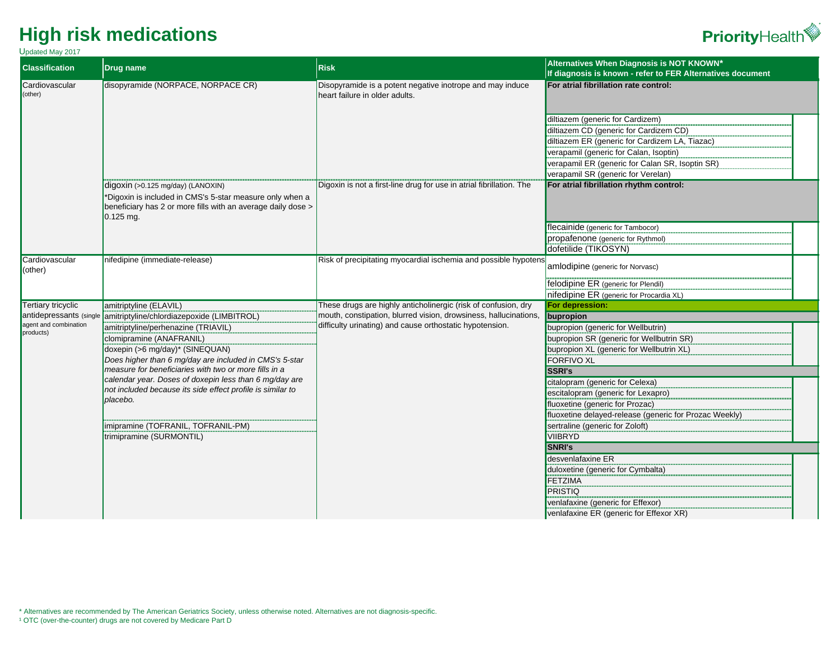Updated May 2017

| Opualeu May 2017<br><b>Classification</b> | <b>Drug name</b>                                                                                                | <b>Risk</b>                                                                                 | Alternatives When Diagnosis is NOT KNOWN*                  |
|-------------------------------------------|-----------------------------------------------------------------------------------------------------------------|---------------------------------------------------------------------------------------------|------------------------------------------------------------|
|                                           |                                                                                                                 |                                                                                             | If diagnosis is known - refer to FER Alternatives document |
| Cardiovascular<br>(other)                 | disopyramide (NORPACE, NORPACE CR)                                                                              | Disopyramide is a potent negative inotrope and may induce<br>heart failure in older adults. | For atrial fibrillation rate control:                      |
|                                           |                                                                                                                 |                                                                                             | diltiazem (generic for Cardizem)                           |
|                                           |                                                                                                                 |                                                                                             | diltiazem CD (generic for Cardizem CD)                     |
|                                           |                                                                                                                 |                                                                                             | diltiazem ER (generic for Cardizem LA, Tiazac)             |
|                                           |                                                                                                                 |                                                                                             | verapamil (generic for Calan, Isoptin)                     |
|                                           |                                                                                                                 |                                                                                             | verapamil ER (generic for Calan SR, Isoptin SR)            |
|                                           |                                                                                                                 |                                                                                             | verapamil SR (generic for Verelan)                         |
|                                           | digoxin (>0.125 mg/day) (LANOXIN)                                                                               | Digoxin is not a first-line drug for use in atrial fibrillation. The                        | For atrial fibrillation rhythm control:                    |
|                                           | *Digoxin is included in CMS's 5-star measure only when a                                                        |                                                                                             |                                                            |
|                                           | beneficiary has 2 or more fills with an average daily dose ><br>$0.125$ mg.                                     |                                                                                             |                                                            |
|                                           |                                                                                                                 |                                                                                             | flecainide (generic for Tambocor)                          |
|                                           |                                                                                                                 |                                                                                             | propafenone (generic for Rythmol)                          |
|                                           |                                                                                                                 |                                                                                             | dofetilide (TIKOSYN)                                       |
| Cardiovascular<br>(other)                 | nifedipine (immediate-release)                                                                                  | Risk of precipitating myocardial ischemia and possible hypotens                             | amlodipine (generic for Norvasc)                           |
|                                           |                                                                                                                 |                                                                                             | felodipine ER (generic for Plendil)                        |
|                                           |                                                                                                                 |                                                                                             | nifedipine ER (generic for Procardia XL)                   |
| <b>Tertiary tricyclic</b>                 | amitriptyline (ELAVIL)                                                                                          | These drugs are highly anticholinergic (risk of confusion, dry                              | For depression:                                            |
| agent and combination                     | antidepressants (single amitriptyline/chlordiazepoxide (LIMBITROL)                                              | mouth, constipation, blurred vision, drowsiness, hallucinations,                            | bupropion                                                  |
| products)                                 | amitriptyline/perhenazine (TRIAVIL)                                                                             | difficulty urinating) and cause orthostatic hypotension.                                    | bupropion (generic for Wellbutrin)                         |
|                                           | clomipramine (ANAFRANIL)                                                                                        |                                                                                             | bupropion SR (generic for Wellbutrin SR)                   |
|                                           | doxepin (>6 mg/day)* (SINEQUAN)                                                                                 |                                                                                             | bupropion XL (generic for Wellbutrin XL)                   |
|                                           | Does higher than 6 mg/day are included in CMS's 5-star<br>measure for beneficiaries with two or more fills in a |                                                                                             | <b>FORFIVO XL</b><br><b>SSRI's</b>                         |
|                                           | calendar year. Doses of doxepin less than 6 mg/day are                                                          |                                                                                             | citalopram (generic for Celexa)                            |
|                                           | not included because its side effect profile is similar to                                                      |                                                                                             | escitalopram (generic for Lexapro)                         |
|                                           | placebo.                                                                                                        |                                                                                             | fluoxetine (generic for Prozac)                            |
|                                           |                                                                                                                 |                                                                                             | fluoxetine delayed-release (generic for Prozac Weekly)     |
|                                           | imipramine (TOFRANIL, TOFRANIL-PM)                                                                              |                                                                                             | sertraline (generic for Zoloft)                            |
|                                           | trimipramine (SURMONTIL)                                                                                        |                                                                                             | <b>VIIBRYD</b>                                             |
|                                           |                                                                                                                 |                                                                                             | <b>SNRI's</b>                                              |
|                                           |                                                                                                                 |                                                                                             | desvenlafaxine ER                                          |
|                                           |                                                                                                                 |                                                                                             | duloxetine (generic for Cymbalta)                          |
|                                           |                                                                                                                 |                                                                                             | <b>FETZIMA</b>                                             |
|                                           |                                                                                                                 |                                                                                             | <b>PRISTIQ</b>                                             |
|                                           |                                                                                                                 |                                                                                             | venlafaxine (generic for Effexor)                          |
|                                           |                                                                                                                 |                                                                                             | venlafaxine ER (generic for Effexor XR)                    |

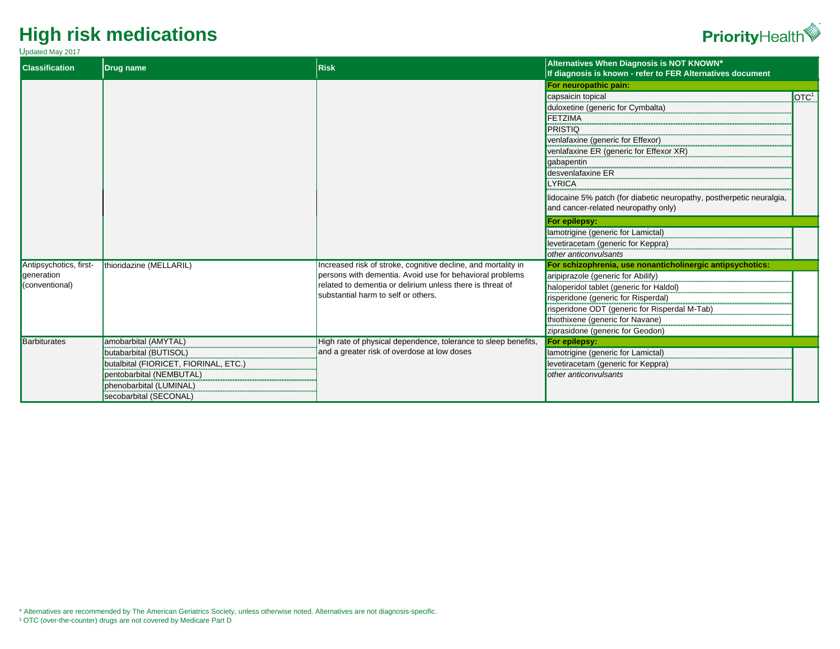#### Updated May 2017



| <b>Classification</b>        | <b>Drug name</b>                                                  | <b>Risk</b>                                                                                                           | Alternatives When Diagnosis is NOT KNOWN*<br>If diagnosis is known - refer to FER Alternatives document |                   |
|------------------------------|-------------------------------------------------------------------|-----------------------------------------------------------------------------------------------------------------------|---------------------------------------------------------------------------------------------------------|-------------------|
|                              |                                                                   | For neuropathic pain:                                                                                                 |                                                                                                         |                   |
|                              |                                                                   |                                                                                                                       | capsaicin topical                                                                                       | IOTC <sup>1</sup> |
|                              |                                                                   |                                                                                                                       | duloxetine (generic for Cymbalta)                                                                       |                   |
|                              |                                                                   |                                                                                                                       | <b>FETZIMA</b>                                                                                          |                   |
|                              |                                                                   |                                                                                                                       | PRISTIQ                                                                                                 |                   |
|                              |                                                                   |                                                                                                                       | venlafaxine (generic for Effexor)                                                                       |                   |
|                              |                                                                   |                                                                                                                       | venlafaxine ER (generic for Effexor XR)                                                                 |                   |
|                              |                                                                   |                                                                                                                       | gabapentin                                                                                              |                   |
|                              |                                                                   |                                                                                                                       | desvenlafaxine ER                                                                                       |                   |
|                              |                                                                   |                                                                                                                       | <b>LYRICA</b>                                                                                           |                   |
|                              |                                                                   |                                                                                                                       | lidocaine 5% patch (for diabetic neuropathy, postherpetic neuralgia,                                    |                   |
|                              |                                                                   |                                                                                                                       | and cancer-related neuropathy only)                                                                     |                   |
|                              |                                                                   |                                                                                                                       | For epilepsy:                                                                                           |                   |
|                              |                                                                   |                                                                                                                       | lamotrigine (generic for Lamictal)                                                                      |                   |
|                              |                                                                   |                                                                                                                       | levetiracetam (generic for Keppra)                                                                      |                   |
|                              |                                                                   |                                                                                                                       | other anticonvulsants                                                                                   |                   |
| Antipsychotics, first-       | thioridazine (MELLARIL)                                           | Increased risk of stroke, cognitive decline, and mortality in                                                         | For schizophrenia, use nonanticholinergic antipsychotics:                                               |                   |
| generation<br>(conventional) |                                                                   | persons with dementia. Avoid use for behavioral problems<br>related to dementia or delirium unless there is threat of | aripiprazole (generic for Abilify)                                                                      |                   |
|                              |                                                                   | substantial harm to self or others.                                                                                   | haloperidol tablet (generic for Haldol)                                                                 |                   |
|                              |                                                                   |                                                                                                                       | risperidone (generic for Risperdal)                                                                     |                   |
|                              |                                                                   |                                                                                                                       | risperidone ODT (generic for Risperdal M-Tab)                                                           |                   |
|                              |                                                                   |                                                                                                                       | thiothixene (generic for Navane)                                                                        |                   |
| Barbiturates                 |                                                                   | High rate of physical dependence, tolerance to sleep benefits,                                                        | ziprasidone (generic for Geodon)                                                                        |                   |
|                              | amobarbital (AMYTAL)                                              | and a greater risk of overdose at low doses                                                                           | For epilepsy:                                                                                           |                   |
|                              | butabarbital (BUTISOL)                                            |                                                                                                                       | lamotrigine (generic for Lamictal)                                                                      |                   |
|                              | butalbital (FIORICET, FIORINAL, ETC.)<br>pentobarbital (NEMBUTAL) |                                                                                                                       | levetiracetam (generic for Keppra)<br>other anticonvulsants                                             |                   |
|                              | phenobarbital (LUMINAL)                                           |                                                                                                                       |                                                                                                         |                   |
|                              |                                                                   |                                                                                                                       |                                                                                                         |                   |
|                              | secobarbital (SECONAL)                                            |                                                                                                                       |                                                                                                         |                   |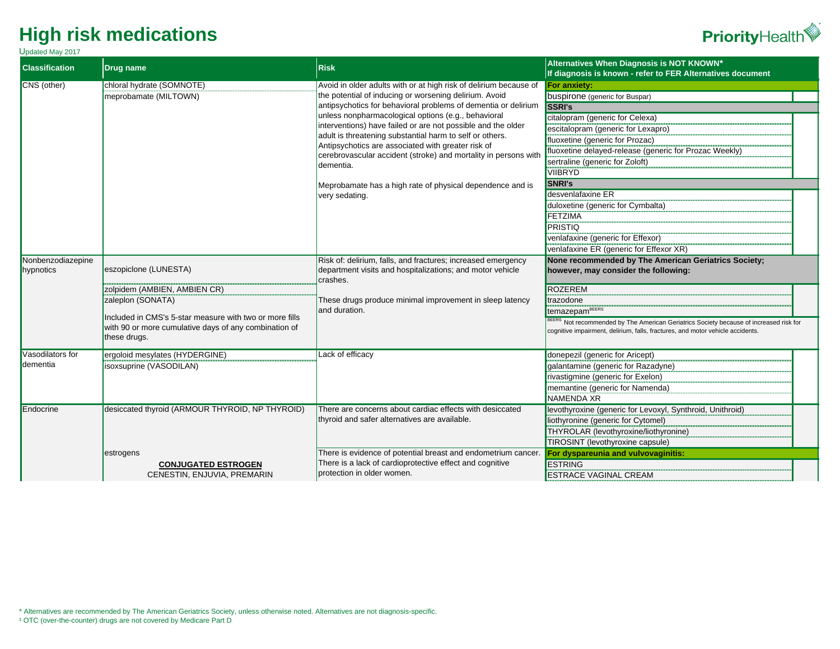



| <b>Classification</b> | <b>Drug name</b>                                        | <b>Risk</b>                                                                                                                                                                       | Alternatives When Diagnosis is NOT KNOWN*<br>If diagnosis is known - refer to FER Alternatives document |
|-----------------------|---------------------------------------------------------|-----------------------------------------------------------------------------------------------------------------------------------------------------------------------------------|---------------------------------------------------------------------------------------------------------|
| CNS (other)           | chloral hydrate (SOMNOTE)                               | Avoid in older adults with or at high risk of delirium because of                                                                                                                 | For anxiety:                                                                                            |
|                       | meprobamate (MILTOWN)                                   | the potential of inducing or worsening delirium. Avoid<br>antipsychotics for behavioral problems of dementia or delirium<br>unless nonpharmacological options (e.g., behavioral   | buspirone (generic for Buspar)                                                                          |
|                       |                                                         |                                                                                                                                                                                   | <b>SSRI's</b>                                                                                           |
|                       |                                                         |                                                                                                                                                                                   | citalopram (generic for Celexa)                                                                         |
|                       |                                                         | interventions) have failed or are not possible and the older                                                                                                                      | escitalopram (generic for Lexapro)                                                                      |
|                       |                                                         | adult is threatening substantial harm to self or others.<br>Antipsychotics are associated with greater risk of<br>cerebrovascular accident (stroke) and mortality in persons with | fluoxetine (generic for Prozac)                                                                         |
|                       |                                                         |                                                                                                                                                                                   | fluoxetine delayed-release (generic for Prozac Weekly)                                                  |
|                       |                                                         | dementia.                                                                                                                                                                         | sertraline (generic for Zoloft)                                                                         |
|                       |                                                         |                                                                                                                                                                                   | VIIBRYD                                                                                                 |
|                       |                                                         | Meprobamate has a high rate of physical dependence and is                                                                                                                         | <b>SNRI's</b>                                                                                           |
|                       |                                                         | very sedating.                                                                                                                                                                    | desvenlafaxine ER                                                                                       |
|                       |                                                         |                                                                                                                                                                                   | duloxetine (generic for Cymbalta)                                                                       |
|                       |                                                         |                                                                                                                                                                                   | <b>FETZIMA</b>                                                                                          |
|                       |                                                         |                                                                                                                                                                                   | <b>PRISTIQ</b>                                                                                          |
|                       |                                                         |                                                                                                                                                                                   | venlafaxine (generic for Effexor)                                                                       |
|                       |                                                         |                                                                                                                                                                                   | venlafaxine ER (generic for Effexor XR)                                                                 |
| Nonbenzodiazepine     |                                                         | Risk of: delirium, falls, and fractures; increased emergency                                                                                                                      | None recommended by The American Geriatrics Society;                                                    |
| hypnotics             | eszopiclone (LUNESTA)                                   | department visits and hospitalizations; and motor vehicle<br>crashes.                                                                                                             | however, may consider the following:                                                                    |
|                       | zolpidem (AMBIEN, AMBIEN CR)                            |                                                                                                                                                                                   | <b>ROZEREM</b>                                                                                          |
|                       | zaleplon (SONATA)                                       | These drugs produce minimal improvement in sleep latency                                                                                                                          | trazodone                                                                                               |
|                       | Included in CMS's 5-star measure with two or more fills | and duration.                                                                                                                                                                     | temazepam <sup>BEERS</sup>                                                                              |
|                       | with 90 or more cumulative days of any combination of   |                                                                                                                                                                                   | BEERS Not recommended by The American Geriatrics Society because of increased risk for                  |
|                       | these drugs.                                            |                                                                                                                                                                                   | cognitive impairment, delirium, falls, fractures, and motor vehicle accidents.                          |
| Vasodilators for      | ergoloid mesylates (HYDERGINE)                          | Lack of efficacy                                                                                                                                                                  | donepezil (generic for Aricept)                                                                         |
| dementia              | isoxsuprine (VASODILAN)                                 |                                                                                                                                                                                   | galantamine (generic for Razadyne)                                                                      |
|                       |                                                         |                                                                                                                                                                                   | rivastigmine (generic for Exelon)                                                                       |
|                       |                                                         |                                                                                                                                                                                   | memantine (generic for Namenda)                                                                         |
|                       |                                                         |                                                                                                                                                                                   | <b>NAMENDA XR</b>                                                                                       |
| Endocrine             | desiccated thyroid (ARMOUR THYROID, NP THYROID)         | There are concerns about cardiac effects with desiccated                                                                                                                          | levothyroxine (generic for Levoxyl, Synthroid, Unithroid)                                               |
|                       |                                                         | thyroid and safer alternatives are available.                                                                                                                                     | liothyronine (generic for Cytomel)                                                                      |
|                       |                                                         |                                                                                                                                                                                   | THYROLAR (levothyroxine/liothyronine)                                                                   |
|                       |                                                         |                                                                                                                                                                                   | TIROSINT (levothyroxine capsule)                                                                        |
|                       | estrogens                                               | There is evidence of potential breast and endometrium cancer.                                                                                                                     | For dyspareunia and vulvovaginitis:                                                                     |
|                       | <b>CONJUGATED ESTROGEN</b>                              | There is a lack of cardioprotective effect and cognitive                                                                                                                          | <b>ESTRING</b>                                                                                          |
|                       | CENESTIN, ENJUVIA, PREMARIN                             | protection in older women.                                                                                                                                                        | <b>ESTRACE VAGINAL CREAM</b>                                                                            |

\* Alternatives are recommended by The American Geriatrics Society, unless otherwise noted. Alternatives are not diagnosis-specific. <sup>1</sup> OTC (over-the-counter) drugs are not covered by Medicare Part D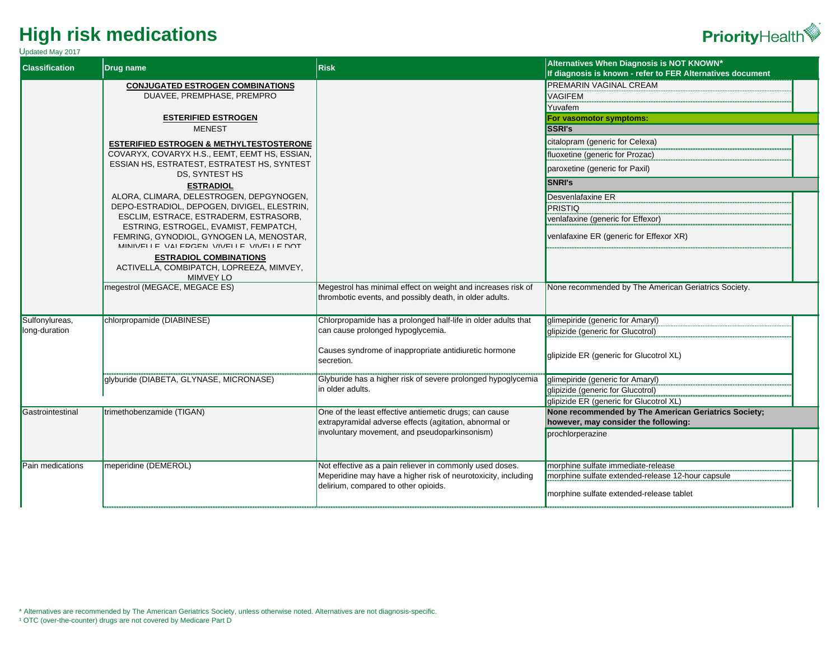

| <b>Classification</b> | <b>Drug name</b>                                             | <b>Risk</b>                                                         | Alternatives When Diagnosis is NOT KNOWN*                  |
|-----------------------|--------------------------------------------------------------|---------------------------------------------------------------------|------------------------------------------------------------|
|                       |                                                              |                                                                     | If diagnosis is known - refer to FER Alternatives document |
|                       | <b>CONJUGATED ESTROGEN COMBINATIONS</b>                      |                                                                     | <b>PREMARIN VAGINAL CREAM</b>                              |
|                       | DUAVEE, PREMPHASE, PREMPRO                                   |                                                                     | <b>VAGIFEM</b>                                             |
|                       |                                                              |                                                                     | Yuvafem                                                    |
|                       | <b>ESTERIFIED ESTROGEN</b>                                   |                                                                     | For vasomotor symptoms:                                    |
|                       | <b>MENEST</b>                                                |                                                                     | <b>SSRI's</b>                                              |
|                       | <b>ESTERIFIED ESTROGEN &amp; METHYLTESTOSTERONE</b>          |                                                                     | citalopram (generic for Celexa)                            |
|                       | COVARYX, COVARYX H.S., EEMT, EEMT HS, ESSIAN,                |                                                                     | fluoxetine (generic for Prozac)                            |
|                       | ESSIAN HS, ESTRATEST, ESTRATEST HS, SYNTEST                  |                                                                     | paroxetine (generic for Paxil)                             |
|                       | <b>DS. SYNTEST HS</b>                                        |                                                                     | SNRI's                                                     |
|                       | <b>ESTRADIOL</b><br>ALORA, CLIMARA, DELESTROGEN, DEPGYNOGEN, |                                                                     |                                                            |
|                       | DEPO-ESTRADIOL, DEPOGEN, DIVIGEL, ELESTRIN,                  |                                                                     | Desvenlafaxine ER<br>PRISTIQ                               |
|                       | ESCLIM, ESTRACE, ESTRADERM, ESTRASORB,                       |                                                                     | venlafaxine (generic for Effexor)                          |
|                       | ESTRING, ESTROGEL, EVAMIST, FEMPATCH,                        |                                                                     |                                                            |
|                       | FEMRING, GYNODIOL, GYNOGEN LA, MENOSTAR,                     |                                                                     | venlafaxine ER (generic for Effexor XR)                    |
|                       | MINIVELLE VALERGEN VIVELLE VIVELLE DOT                       |                                                                     |                                                            |
|                       | <b>ESTRADIOL COMBINATIONS</b>                                |                                                                     |                                                            |
|                       | ACTIVELLA, COMBIPATCH, LOPREEZA, MIMVEY,<br><b>MIMVEY LO</b> |                                                                     |                                                            |
|                       | megestrol (MEGACE, MEGACE ES)                                | Megestrol has minimal effect on weight and increases risk of        | None recommended by The American Geriatrics Society.       |
|                       |                                                              | thrombotic events, and possibly death, in older adults.             |                                                            |
|                       |                                                              |                                                                     |                                                            |
| Sulfonylureas,        | chlorpropamide (DIABINESE)                                   | Chlorpropamide has a prolonged half-life in older adults that       | glimepiride (generic for Amaryl)                           |
| long-duration         |                                                              | can cause prolonged hypoglycemia.                                   | glipizide (generic for Glucotrol)                          |
|                       |                                                              |                                                                     |                                                            |
|                       |                                                              | Causes syndrome of inappropriate antidiuretic hormone<br>secretion. | glipizide ER (generic for Glucotrol XL)                    |
|                       |                                                              |                                                                     |                                                            |
|                       | glyburide (DIABETA, GLYNASE, MICRONASE)                      | Glyburide has a higher risk of severe prolonged hypoglycemia        | glimepiride (generic for Amaryl)                           |
|                       |                                                              | in older adults.                                                    | glipizide (generic for Glucotrol)                          |
|                       |                                                              |                                                                     | qlipizide ER (generic for Glucotrol XL)                    |
| Gastrointestinal      | trimethobenzamide (TIGAN)                                    | One of the least effective antiemetic drugs; can cause              | None recommended by The American Geriatrics Society;       |
|                       |                                                              | extrapyramidal adverse effects (agitation, abnormal or              | however, may consider the following:                       |
|                       |                                                              | involuntary movement, and pseudoparkinsonism)                       | prochlorperazine                                           |
|                       |                                                              |                                                                     |                                                            |
| Pain medications      | meperidine (DEMEROL)                                         | Not effective as a pain reliever in commonly used doses.            | morphine sulfate immediate-release                         |
|                       |                                                              | Meperidine may have a higher risk of neurotoxicity, including       | morphine sulfate extended-release 12-hour capsule          |
|                       |                                                              | delirium, compared to other opioids.                                |                                                            |
|                       |                                                              |                                                                     | morphine sulfate extended-release tablet                   |
|                       |                                                              |                                                                     |                                                            |

\* Alternatives are recommended by The American Geriatrics Society, unless otherwise noted. Alternatives are not diagnosis-specific.

<sup>1</sup> OTC (over-the-counter) drugs are not covered by Medicare Part D